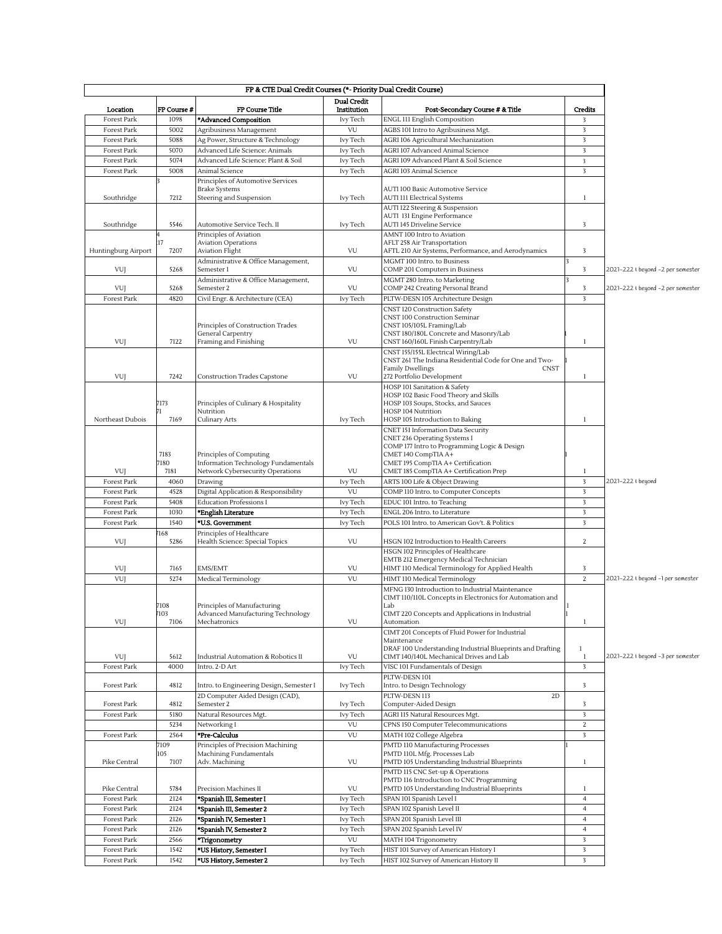| FP & CTE Dual Credit Courses (*- Priority Dual Credit Course) |                     |                                                        |                      |                                                                                                      |                         |                                   |  |  |  |  |
|---------------------------------------------------------------|---------------------|--------------------------------------------------------|----------------------|------------------------------------------------------------------------------------------------------|-------------------------|-----------------------------------|--|--|--|--|
|                                                               |                     |                                                        | <b>Dual Credit</b>   |                                                                                                      |                         |                                   |  |  |  |  |
| Location<br>Forest Park                                       | FP Course #<br>1098 | FP Course Title                                        | Institution          | Post-Secondary Course # & Title<br>ENGL 111 English Composition                                      | Credits<br>3            |                                   |  |  |  |  |
| Forest Park                                                   | 5002                | *Advanced Composition<br>Agribusiness Management       | Ivy Tech<br>VU       | AGBS 101 Intro to Agribusiness Mgt.                                                                  | $\overline{\mathbf{3}}$ |                                   |  |  |  |  |
| Forest Park                                                   | 5088                | Ag Power, Structure & Technology                       | Ivy Tech             | AGRI 106 Agricultural Mechanization                                                                  | 3                       |                                   |  |  |  |  |
| Forest Park                                                   | 5070                | Advanced Life Science: Animals                         | Ivy Tech             | AGRI 107 Advanced Animal Science                                                                     | $\sqrt{3}$              |                                   |  |  |  |  |
| Forest Park                                                   | 5074                | Advanced Life Science: Plant & Soil                    | Ivy Tech             | AGRI 109 Advanced Plant & Soil Science                                                               | $\overline{\mathbf{3}}$ |                                   |  |  |  |  |
| Forest Park                                                   | 5008                | Animal Science                                         | Ivy Tech             | <b>AGRI 103 Animal Science</b>                                                                       | 3                       |                                   |  |  |  |  |
|                                                               |                     | Principles of Automotive Services                      |                      |                                                                                                      |                         |                                   |  |  |  |  |
| Southridge                                                    | 7212                | <b>Brake Systems</b><br>Steering and Suspension        | Ivy Tech             | AUTI 100 Basic Automotive Service<br><b>AUTI 111 Electrical Systems</b>                              | $\mathbf{1}$            |                                   |  |  |  |  |
|                                                               |                     |                                                        |                      | AUTI 122 Steering & Suspension                                                                       |                         |                                   |  |  |  |  |
|                                                               |                     |                                                        |                      | AUTI 131 Engine Performance                                                                          |                         |                                   |  |  |  |  |
| Southridge                                                    | 5546                | Automotive Service Tech. II                            | Ivy Tech             | <b>AUTI 145 Driveline Service</b>                                                                    | 3                       |                                   |  |  |  |  |
|                                                               | :17                 | Principles of Aviation<br><b>Aviation Operations</b>   |                      | AMNT 100 Intro to Aviation<br>AFLT 258 Air Transportation                                            |                         |                                   |  |  |  |  |
| Huntingburg Airport                                           | 7207                | <b>Aviation Flight</b>                                 | VU                   | AFTL 210 Air Systems, Performance, and Aerodynamics                                                  | 3                       |                                   |  |  |  |  |
|                                                               |                     | Administrative & Office Management,                    |                      | MGMT 100 Intro. to Business                                                                          |                         |                                   |  |  |  |  |
| VUJ                                                           | 5268                | Semester 1                                             | VU                   | COMP 201 Computers in Business                                                                       | 3<br>l٦                 | 2021-222 + beyond -2 per semester |  |  |  |  |
| VUJ                                                           | 5268                | Administrative & Office Management,<br>Semester 2      | VU                   | MGMT 280 Intro. to Marketing<br>COMP 242 Creating Personal Brand                                     | 3                       | 2021-222 + beyond -2 per semester |  |  |  |  |
| Forest Park                                                   | 4820                | Civil Engr. & Architecture (CEA)                       | Ivy Tech             | PLTW-DESN 105 Architecture Design                                                                    | 3                       |                                   |  |  |  |  |
|                                                               |                     |                                                        |                      | CNST 120 Construction Safety                                                                         |                         |                                   |  |  |  |  |
|                                                               |                     |                                                        |                      | CNST 100 Construction Seminar                                                                        |                         |                                   |  |  |  |  |
|                                                               |                     | Principles of Construction Trades<br>General Carpentry |                      | CNST 105/105L Framing/Lab<br>CNST 180/180L Concrete and Masonry/Lab                                  |                         |                                   |  |  |  |  |
| VUJ                                                           | 7122                | Framing and Finishing                                  | VU                   | CNST 160/160L Finish Carpentry/Lab                                                                   | 1                       |                                   |  |  |  |  |
|                                                               |                     |                                                        |                      | CNST 155/155L Electrical Wiring/Lab                                                                  |                         |                                   |  |  |  |  |
|                                                               |                     |                                                        |                      | CNST 261 The Indiana Residential Code for One and Two-<br><b>Family Dwellings</b><br><b>CNST</b>     |                         |                                   |  |  |  |  |
| VUJ                                                           | 7242                | <b>Construction Trades Capstone</b>                    | VU                   | 272 Portfolio Development                                                                            | $\mathbf{1}$            |                                   |  |  |  |  |
|                                                               |                     |                                                        |                      | HOSP 101 Sanitation & Safety                                                                         |                         |                                   |  |  |  |  |
|                                                               |                     |                                                        |                      | HOSP 102 Basic Food Theory and Skills                                                                |                         |                                   |  |  |  |  |
|                                                               | 7173                | Principles of Culinary & Hospitality<br>Nutrition      |                      | HOSP 103 Soups, Stocks, and Sauces<br>HOSP 104 Nutrition                                             |                         |                                   |  |  |  |  |
| Northeast Dubois                                              | 7169                | Culinary Arts                                          | Ivy Tech             | HOSP 105 Introduction to Baking                                                                      | 1                       |                                   |  |  |  |  |
|                                                               |                     |                                                        |                      | CNET 151 Information Data Security                                                                   |                         |                                   |  |  |  |  |
|                                                               |                     |                                                        |                      | CNET 236 Operating Systems I                                                                         |                         |                                   |  |  |  |  |
|                                                               | 7183                | Principles of Computing                                |                      | COMP 177 Intro to Programming Logic & Design<br>CMET 140 CompTIA A+                                  |                         |                                   |  |  |  |  |
|                                                               | 7180                | Information Technology Fundamentals                    |                      | CMET 195 CompTIA A+ Certification                                                                    |                         |                                   |  |  |  |  |
| VUJ                                                           | 7181                | Network Cybersecurity Operations                       | VU                   | CMET 185 CompTIA A+ Certification Prep                                                               | $\mathbf{1}$            |                                   |  |  |  |  |
| Forest Park                                                   | 4060                | Drawing                                                | Ivy Tech             | ARTS 100 Life & Object Drawing                                                                       | $\overline{\mathbf{3}}$ | 2021-222 + beyond                 |  |  |  |  |
| Forest Park                                                   | 4528                | Digital Application & Responsibility                   | VU                   | COMP 110 Intro. to Computer Concepts                                                                 | 3                       |                                   |  |  |  |  |
| Forest Park<br>Forest Park                                    | 5408<br>1030        | <b>Education Professions I</b><br>*English Literature  | Ivy Tech<br>Ivy Tech | EDUC 101 Intro. to Teaching<br>ENGL 206 Intro. to Literature                                         | $\sqrt{3}$<br>3         |                                   |  |  |  |  |
| Forest Park                                                   | 1540                | *U.S. Government                                       | Ivy Tech             | POLS 101 Intro. to American Gov't. & Politics                                                        | $\overline{\mathbf{3}}$ |                                   |  |  |  |  |
|                                                               | 7168                | Principles of Healthcare                               |                      |                                                                                                      |                         |                                   |  |  |  |  |
| VUJ                                                           | 5286                | Health Science: Special Topics                         | VU                   | HSGN 102 Introduction to Health Careers                                                              | $\overline{2}$          |                                   |  |  |  |  |
|                                                               |                     |                                                        |                      | HSGN 102 Principles of Healthcare                                                                    |                         |                                   |  |  |  |  |
| VUJ                                                           | 7165                | EMS/EMT                                                | VU                   | EMTB 212 Emergency Medical Technician<br>HIMT 110 Medical Terminology for Applied Health             | 3                       |                                   |  |  |  |  |
| VUJ                                                           | 5274                | Medical Terminology                                    | VU                   | HIMT 110 Medical Terminology                                                                         | $\overline{2}$          | 2021-222 + beyond -1 per semester |  |  |  |  |
|                                                               |                     |                                                        |                      | MFNG 130 Introduction to Industrial Maintenance                                                      |                         |                                   |  |  |  |  |
|                                                               |                     |                                                        |                      | CIMT 110/110L Concepts in Electronics for Automation and                                             |                         |                                   |  |  |  |  |
|                                                               | 7108                | Principles of Manufacturing                            |                      | Lab                                                                                                  |                         |                                   |  |  |  |  |
| VUJ                                                           | /103<br>7106        | Advanced Manufacturing Technology<br>Mechatronics      | VU                   | CIMT 220 Concepts and Applications in Industrial<br>Automation                                       | $\mathbf{1}$            |                                   |  |  |  |  |
|                                                               |                     |                                                        |                      | CIMT 201 Concepts of Fluid Power for Industrial                                                      |                         |                                   |  |  |  |  |
|                                                               |                     |                                                        |                      | Maintenance                                                                                          |                         |                                   |  |  |  |  |
| VUJ                                                           | 5612                | Industrial Automation & Robotics II                    | VU                   | DRAF 100 Understanding Industrial Blueprints and Drafting<br>CIMT 140/140L Mechanical Drives and Lab | $\mathbf{1}$<br>1       | 2021-222 + beyond -3 per semester |  |  |  |  |
| Forest Park                                                   | 4000                | Intro. 2-D Art                                         | Ivy Tech             | VISC 101 Fundamentals of Design                                                                      | $\sqrt{3}$              |                                   |  |  |  |  |
|                                                               |                     |                                                        |                      | PLTW-DESN 101                                                                                        |                         |                                   |  |  |  |  |
| Forest Park                                                   | 4812                | Intro. to Engineering Design, Semester I               | Ivy Tech             | Intro. to Design Technology                                                                          | 3                       |                                   |  |  |  |  |
|                                                               |                     | 2D Computer Aided Design (CAD),                        |                      | PLTW-DESN 113<br>2D                                                                                  |                         |                                   |  |  |  |  |
| Forest Park<br>Forest Park                                    | 4812<br>5180        | Semester 2<br>Natural Resources Mgt.                   | Ivy Tech<br>Ivy Tech | Computer-Aided Design<br>AGRI 115 Natural Resources Mgt.                                             | 3<br>$\sqrt{3}$         |                                   |  |  |  |  |
|                                                               | 5234                | Networking I                                           | VU                   | CPNS 150 Computer Telecommunications                                                                 | $\overline{2}$          |                                   |  |  |  |  |
| Forest Park                                                   | 2564                | *Pre-Calculus                                          | VU                   | MATH 102 College Algebra                                                                             | $\overline{\mathbf{3}}$ |                                   |  |  |  |  |
|                                                               | 7109                | Principles of Precision Machining                      |                      | PMTD 110 Manufacturing Processes                                                                     |                         |                                   |  |  |  |  |
|                                                               | 105                 | Machining Fundamentals                                 |                      | PMTD 110L Mfg. Processes Lab                                                                         |                         |                                   |  |  |  |  |
| Pike Central                                                  | 7107                | Adv. Machining                                         | VU                   | PMTD 105 Understanding Industrial Blueprints                                                         | $\mathbf{1}$            |                                   |  |  |  |  |
|                                                               |                     |                                                        |                      | PMTD 115 CNC Set-up & Operations<br>PMTD 116 Introduction to CNC Programming                         |                         |                                   |  |  |  |  |
| Pike Central                                                  | 5784                | Precision Machines II                                  | VU                   | PMTD 105 Understanding Industrial Blueprints                                                         | 1                       |                                   |  |  |  |  |
| Forest Park                                                   | 2124                | *Spanish III, Semester I                               | Ivy Tech             | SPAN 101 Spanish Level I                                                                             | $\overline{4}$          |                                   |  |  |  |  |
| Forest Park                                                   | 2124                | *Spanish III, Semester 2                               | Ivy Tech             | SPAN 102 Spanish Level II                                                                            | $\overline{4}$          |                                   |  |  |  |  |
| Forest Park                                                   | 2126                | *Spanish IV, Semester 1                                | Ivy Tech             | SPAN 201 Spanish Level III                                                                           | $\overline{4}$          |                                   |  |  |  |  |
| Forest Park                                                   | 2126                | *Spanish IV, Semester 2                                | Ivy Tech             | SPAN 202 Spanish Level IV                                                                            | $\overline{4}$          |                                   |  |  |  |  |
| Forest Park                                                   | 2566                | *Trigonometry                                          | VU                   | MATH 104 Trigonometry                                                                                | 3                       |                                   |  |  |  |  |
| Forest Park                                                   | 1542                | *US History, Semester I                                | Ivy Tech             | HIST 101 Survey of American History I                                                                | 3                       |                                   |  |  |  |  |
| Forest Park                                                   | 1542                | *US History, Semester 2                                | Ivy Tech             | HIST 102 Survey of American History II                                                               | 3                       |                                   |  |  |  |  |